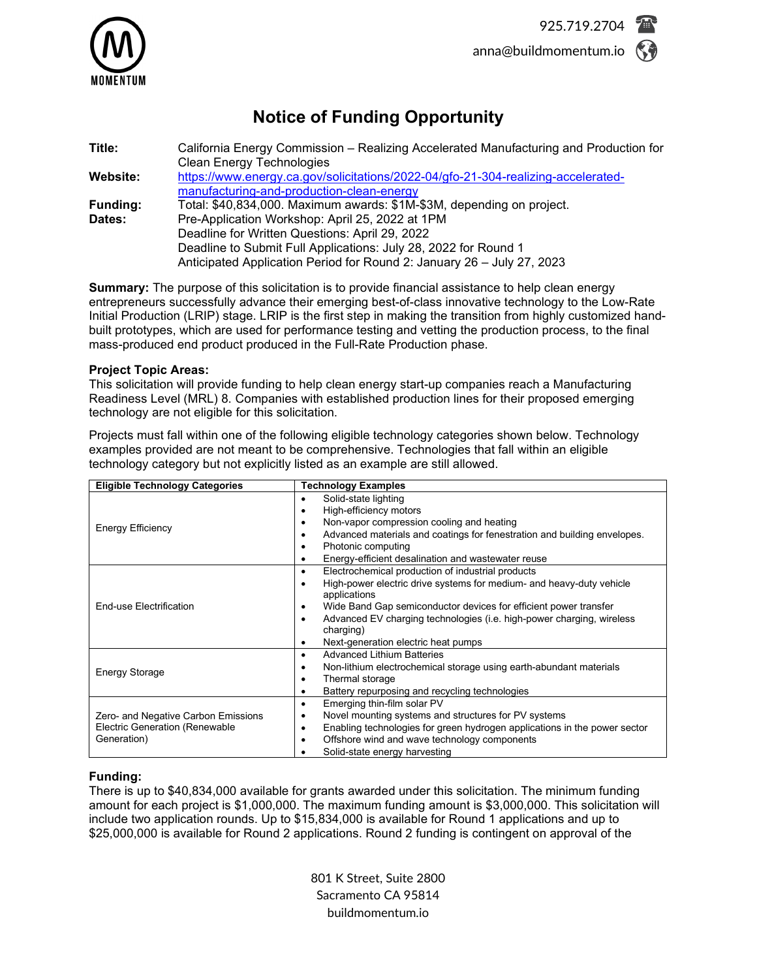

# **Notice of Funding Opportunity**

| Title:                    | California Energy Commission – Realizing Accelerated Manufacturing and Production for<br><b>Clean Energy Technologies</b>                                                                   |  |
|---------------------------|---------------------------------------------------------------------------------------------------------------------------------------------------------------------------------------------|--|
| Website:                  | https://www.energy.ca.gov/solicitations/2022-04/gfo-21-304-realizing-accelerated-<br>manufacturing-and-production-clean-energy                                                              |  |
| <b>Funding:</b><br>Dates: | Total: \$40,834,000. Maximum awards: \$1M-\$3M, depending on project.<br>Pre-Application Workshop: April 25, 2022 at 1PM                                                                    |  |
|                           | Deadline for Written Questions: April 29, 2022<br>Deadline to Submit Full Applications: July 28, 2022 for Round 1<br>Anticipated Application Period for Round 2: January 26 - July 27, 2023 |  |

**Summary:** The purpose of this solicitation is to provide financial assistance to help clean energy entrepreneurs successfully advance their emerging best-of-class innovative technology to the Low-Rate Initial Production (LRIP) stage. LRIP is the first step in making the transition from highly customized handbuilt prototypes, which are used for performance testing and vetting the production process, to the final mass-produced end product produced in the Full-Rate Production phase.

## **Project Topic Areas:**

This solicitation will provide funding to help clean energy start-up companies reach a Manufacturing Readiness Level (MRL) 8. Companies with established production lines for their proposed emerging technology are not eligible for this solicitation.

Projects must fall within one of the following eligible technology categories shown below. Technology examples provided are not meant to be comprehensive. Technologies that fall within an eligible technology category but not explicitly listed as an example are still allowed.

| <b>Eligible Technology Categories</b> | <b>Technology Examples</b>                                                         |
|---------------------------------------|------------------------------------------------------------------------------------|
|                                       | Solid-state lighting<br>٠                                                          |
|                                       | High-efficiency motors<br>٠                                                        |
| <b>Energy Efficiency</b>              | Non-vapor compression cooling and heating<br>٠                                     |
|                                       | Advanced materials and coatings for fenestration and building envelopes.<br>٠      |
|                                       | Photonic computing<br>٠                                                            |
|                                       | Energy-efficient desalination and wastewater reuse                                 |
|                                       | Electrochemical production of industrial products<br>٠                             |
|                                       | High-power electric drive systems for medium- and heavy-duty vehicle<br>$\bullet$  |
|                                       | applications                                                                       |
| End-use Electrification               | Wide Band Gap semiconductor devices for efficient power transfer<br>٠              |
|                                       | Advanced EV charging technologies (i.e. high-power charging, wireless<br>$\bullet$ |
|                                       | charging)                                                                          |
|                                       | Next-generation electric heat pumps<br>٠                                           |
|                                       | <b>Advanced Lithium Batteries</b><br>٠                                             |
| <b>Energy Storage</b>                 | Non-lithium electrochemical storage using earth-abundant materials<br>٠            |
|                                       | Thermal storage<br>٠                                                               |
|                                       | Battery repurposing and recycling technologies<br>٠                                |
|                                       | Emerging thin-film solar PV<br>٠                                                   |
| Zero- and Negative Carbon Emissions   | Novel mounting systems and structures for PV systems<br>٠                          |
| <b>Electric Generation (Renewable</b> | Enabling technologies for green hydrogen applications in the power sector          |
| Generation)                           | Offshore wind and wave technology components<br>٠                                  |
|                                       | Solid-state energy harvesting                                                      |

## **Funding:**

There is up to \$40,834,000 available for grants awarded under this solicitation. The minimum funding amount for each project is \$1,000,000. The maximum funding amount is \$3,000,000. This solicitation will include two application rounds. Up to \$15,834,000 is available for Round 1 applications and up to \$25,000,000 is available for Round 2 applications. Round 2 funding is contingent on approval of the

> 801 K Street, Suite 2800 Sacramento CA 95814 buildmomentum.io